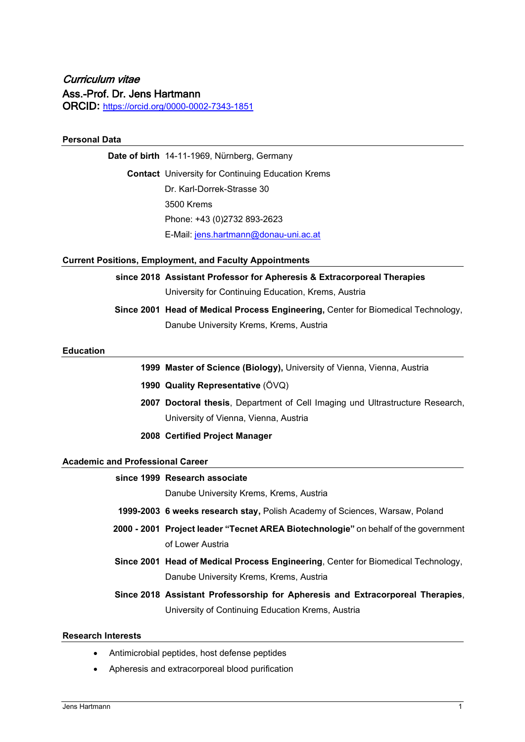# Curriculum vitae Ass.-Prof. Dr. Jens Hartmann ORCID**:** <https://orcid.org/0000-0002-7343-1851>

# **Personal Data**

**Date of birth** 14-11-1969, Nürnberg, Germany **Contact** University for Continuing Education Krems Dr. Karl-Dorrek-Strasse 30 3500 Krems Phone: +43 (0)2732 893-2623 E-Mail: [jens.hartmann@donau-uni.ac.at](mailto:jens.hartmann@donau-uni.ac.at)

### **Current Positions, Employment, and Faculty Appointments**

# **since 2018 Assistant Professor for Apheresis & Extracorporeal Therapies**

University for Continuing Education, Krems, Austria

**Since 2001 Head of Medical Process Engineering,** Center for Biomedical Technology, Danube University Krems, Krems, Austria

#### **Education**

- **1999 Master of Science (Biology),** University of Vienna, Vienna, Austria
- **1990 Quality Representative** (ÖVQ)
- **2007 Doctoral thesis**, Department of Cell Imaging und Ultrastructure Research, University of Vienna, Vienna, Austria
- **2008 Certified Project Manager**

#### **Academic and Professional Career**

# **since 1999 Research associate**

Danube University Krems, Krems, Austria

- **1999-2003 6 weeks research stay,** Polish Academy of Sciences, Warsaw, Poland
- **2000 - 2001 Project leader "Tecnet AREA Biotechnologie"** on behalf of the government of Lower Austria
- **Since 2001 Head of Medical Process Engineering**, Center for Biomedical Technology, Danube University Krems, Krems, Austria
- **Since 2018 Assistant Professorship for Apheresis and Extracorporeal Therapies**, University of Continuing Education Krems, Austria

#### **Research Interests**

- Antimicrobial peptides, host defense peptides
- Apheresis and extracorporeal blood purification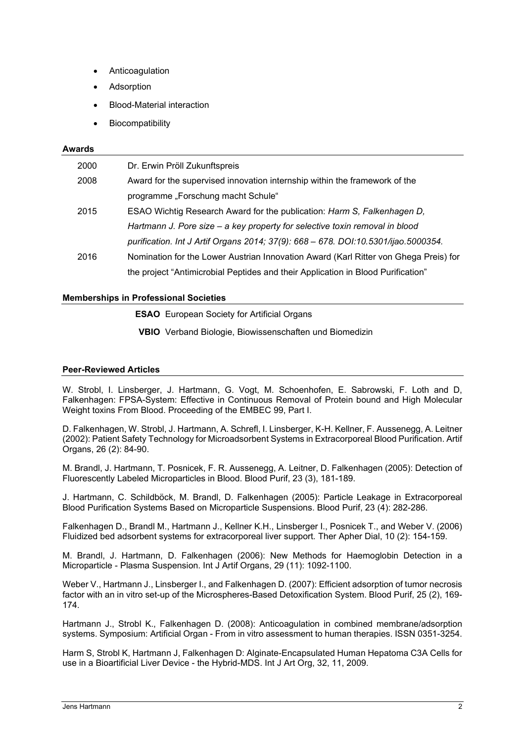- **Anticoagulation**
- **Adsorption**
- Blood-Material interaction
- Biocompatibility

### **Awards**

| 2000 | Dr. Erwin Pröll Zukunftspreis                                                        |
|------|--------------------------------------------------------------------------------------|
| 2008 | Award for the supervised innovation internship within the framework of the           |
|      | programme "Forschung macht Schule"                                                   |
| 2015 | ESAO Wichtig Research Award for the publication: Harm S, Falkenhagen D,              |
|      | Hartmann J. Pore size – a key property for selective toxin removal in blood          |
|      | purification. Int J Artif Organs 2014; 37(9): 668 - 678. DOI:10.5301/ijao.5000354.   |
| 2016 | Nomination for the Lower Austrian Innovation Award (Karl Ritter von Ghega Preis) for |
|      | the project "Antimicrobial Peptides and their Application in Blood Purification"     |

# **Memberships in Professional Societies**

**ESAO** European Society for Artificial Organs

**VBIO** Verband Biologie, Biowissenschaften und Biomedizin

## **Peer-Reviewed Articles**

W. Strobl, I. Linsberger, J. Hartmann, G. Vogt, M. Schoenhofen, E. Sabrowski, F. Loth and D, Falkenhagen: FPSA-System: Effective in Continuous Removal of Protein bound and High Molecular Weight toxins From Blood. Proceeding of the EMBEC 99, Part I.

D. Falkenhagen, W. Strobl, J. Hartmann, A. Schrefl, I. Linsberger, K-H. Kellner, F. Aussenegg, A. Leitner (2002): Patient Safety Technology for Microadsorbent Systems in Extracorporeal Blood Purification. Artif Organs, 26 (2): 84-90.

M. Brandl, J. Hartmann, T. Posnicek, F. R. Aussenegg, A. Leitner, D. Falkenhagen (2005): Detection of Fluorescently Labeled Microparticles in Blood. Blood Purif, 23 (3), 181-189.

J. Hartmann, C. Schildböck, M. Brandl, D. Falkenhagen (2005): Particle Leakage in Extracorporeal Blood Purification Systems Based on Microparticle Suspensions. Blood Purif, 23 (4): 282-286.

Falkenhagen D., Brandl M., Hartmann J., Kellner K.H., Linsberger I., Posnicek T., and Weber V. (2006) Fluidized bed adsorbent systems for extracorporeal liver support. Ther Apher Dial, 10 (2): 154-159.

M. Brandl, J. Hartmann, D. Falkenhagen (2006): New Methods for Haemoglobin Detection in a Microparticle - Plasma Suspension. Int J Artif Organs, 29 (11): 1092-1100.

Weber V., Hartmann J., Linsberger I., and Falkenhagen D. (2007): Efficient adsorption of tumor necrosis factor with an in vitro set-up of the Microspheres-Based Detoxification System. Blood Purif, 25 (2), 169- 174.

Hartmann J., Strobl K., Falkenhagen D. (2008): Anticoagulation in combined membrane/adsorption systems. Symposium: Artificial Organ - From in vitro assessment to human therapies. ISSN 0351-3254.

Harm S, Strobl K, Hartmann J, Falkenhagen D: Alginate-Encapsulated Human Hepatoma C3A Cells for use in a Bioartificial Liver Device - the Hybrid-MDS. Int J Art Org, 32, 11, 2009.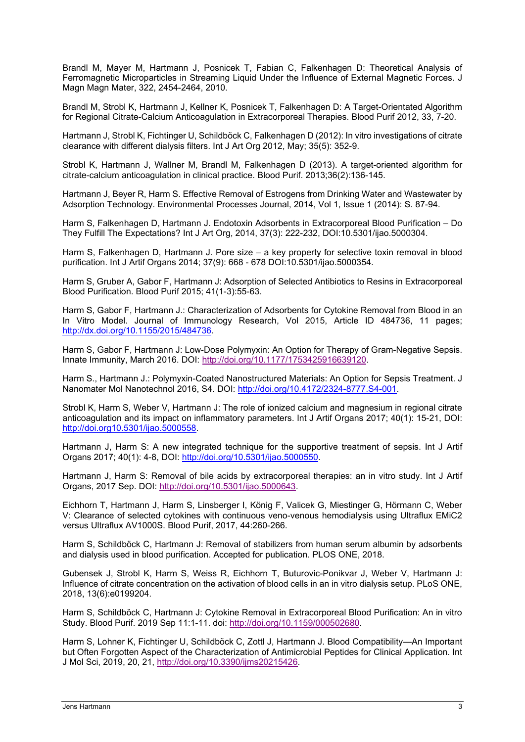Brandl M, Mayer M, Hartmann J, Posnicek T, Fabian C, Falkenhagen D: Theoretical Analysis of Ferromagnetic Microparticles in Streaming Liquid Under the Influence of External Magnetic Forces. J Magn Magn Mater, 322, 2454-2464, 2010.

Brandl M, Strobl K, Hartmann J, Kellner K, Posnicek T, Falkenhagen D: A Target-Orientated Algorithm for Regional Citrate-Calcium Anticoagulation in Extracorporeal Therapies. Blood Purif 2012, 33, 7-20.

Hartmann J, Strobl K, Fichtinger U, Schildböck C, Falkenhagen D (2012): In vitro investigations of citrate clearance with different dialysis filters. Int J Art Org 2012, May; 35(5): 352-9.

Strobl K, Hartmann J, Wallner M, Brandl M, Falkenhagen D (2013). A target-oriented algorithm for citrate-calcium anticoagulation in clinical practice. Blood Purif. 2013;36(2):136-145.

Hartmann J, Beyer R, Harm S. Effective Removal of Estrogens from Drinking Water and Wastewater by Adsorption Technology. Environmental Processes Journal, 2014, Vol 1, Issue 1 (2014): S. 87-94.

Harm S, Falkenhagen D, Hartmann J. Endotoxin Adsorbents in Extracorporeal Blood Purification – Do They Fulfill The Expectations? Int J Art Org, 2014, 37(3): 222-232, DOI:10.5301/ijao.5000304.

Harm S, Falkenhagen D, Hartmann J. Pore size – a key property for selective toxin removal in blood purification. Int J Artif Organs 2014; 37(9): 668 - 678 DOI:10.5301/ijao.5000354.

Harm S, Gruber A, Gabor F, Hartmann J: Adsorption of Selected Antibiotics to Resins in Extracorporeal Blood Purification. Blood Purif 2015; 41(1-3):55-63.

Harm S, Gabor F, Hartmann J.: Characterization of Adsorbents for Cytokine Removal from Blood in an In Vitro Model. Journal of Immunology Research, Vol 2015, Article ID 484736, 11 pages; [http://dx.doi.org/10.1155/2015/484736.](http://dx.doi.org/10.1155/2015/484736)

Harm S, Gabor F, Hartmann J: Low-Dose Polymyxin: An Option for Therapy of Gram-Negative Sepsis. Innate Immunity, March 2016. DOI: [http://doi.org/10.1177/1753425916639120.](http://doi.org/10.1177/1753425916639120)

Harm S., Hartmann J.: Polymyxin-Coated Nanostructured Materials: An Option for Sepsis Treatment. J Nanomater Mol Nanotechnol 2016, S4. DOI: [http://doi.org/10.4172/2324-8777.S4-001.](http://doi.org/10.4172/2324-8777.S4-001)

Strobl K, Harm S, Weber V, Hartmann J: The role of ionized calcium and magnesium in regional citrate anticoagulation and its impact on inflammatory parameters. Int J Artif Organs 2017; 40(1): 15-21, DOI: [http://doi.org10.5301/ijao.5000558.](http://doi.org10.5301/ijao.5000558)

Hartmann J, Harm S: A new integrated technique for the supportive treatment of sepsis. Int J Artif Organs 2017; 40(1): 4-8, DOI: [http://doi.org/10.5301/ijao.5000550.](http://doi.org/10.5301/ijao.5000550)

Hartmann J, Harm S: Removal of bile acids by extracorporeal therapies: an in vitro study. Int J Artif Organs, 2017 Sep. DOI: [http://doi.org/10.5301/ijao.5000643.](http://doi.org/10.5301/ijao.5000643)

Eichhorn T, Hartmann J, Harm S, Linsberger I, König F, Valicek G, Miestinger G, Hörmann C, Weber V: Clearance of selected cytokines with continuous veno-venous hemodialysis using Ultraflux EMiC2 versus Ultraflux AV1000S. Blood Purif, 2017, 44:260-266.

Harm S, Schildböck C, Hartmann J: Removal of stabilizers from human serum albumin by adsorbents and dialysis used in blood purification. Accepted for publication. PLOS ONE, 2018.

Gubensek J, Strobl K, Harm S, Weiss R, Eichhorn T, Buturovic-Ponikvar J, Weber V, Hartmann J: Influence of citrate concentration on the activation of blood cells in an in vitro dialysis setup. PLoS ONE, 2018, 13(6):e0199204.

Harm S, Schildböck C, Hartmann J: Cytokine Removal in Extracorporeal Blood Purification: An in vitro Study. Blood Purif. 2019 Sep 11:1-11. doi: [http://doi.org/10.1159/000502680.](http://doi.org/10.1159/000502680)

Harm S, Lohner K, Fichtinger U, Schildböck C, Zottl J, Hartmann J. Blood Compatibility—An Important but Often Forgotten Aspect of the Characterization of Antimicrobial Peptides for Clinical Application. Int J Mol Sci, 2019, 20, 21, [http://doi.org/10.3390/ijms20215426.](http://doi.org/10.3390/ijms20215426)